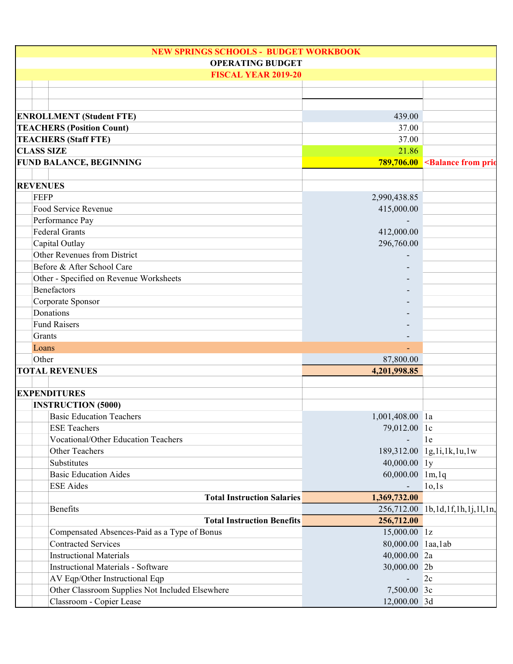| <b>NEW SPRINGS SCHOOLS - BUDGET WORKBOOK</b><br><b>OPERATING BUDGET</b> |                   |                                                        |
|-------------------------------------------------------------------------|-------------------|--------------------------------------------------------|
| <b>FISCAL YEAR 2019-20</b>                                              |                   |                                                        |
|                                                                         |                   |                                                        |
|                                                                         |                   |                                                        |
|                                                                         |                   |                                                        |
| <b>ENROLLMENT (Student FTE)</b>                                         | 439.00            |                                                        |
| <b>TEACHERS (Position Count)</b>                                        | 37.00             |                                                        |
| <b>TEACHERS (Staff FTE)</b>                                             | 37.00             |                                                        |
| <b>CLASS SIZE</b>                                                       | 21.86             |                                                        |
| <b>FUND BALANCE, BEGINNING</b>                                          |                   | 789,706.00 <balance from="" prior<="" td=""></balance> |
|                                                                         |                   |                                                        |
| <b>REVENUES</b><br><b>FEFP</b>                                          |                   |                                                        |
| Food Service Revenue                                                    | 2,990,438.85      |                                                        |
| Performance Pay                                                         | 415,000.00        |                                                        |
| <b>Federal Grants</b>                                                   | 412,000.00        |                                                        |
| Capital Outlay                                                          | 296,760.00        |                                                        |
| Other Revenues from District                                            |                   |                                                        |
| Before & After School Care                                              |                   |                                                        |
| Other - Specified on Revenue Worksheets                                 |                   |                                                        |
| <b>Benefactors</b>                                                      |                   |                                                        |
| Corporate Sponsor                                                       |                   |                                                        |
| Donations                                                               |                   |                                                        |
| <b>Fund Raisers</b>                                                     |                   |                                                        |
| Grants                                                                  |                   |                                                        |
| Loans                                                                   |                   |                                                        |
| Other                                                                   | 87,800.00         |                                                        |
| <b>TOTAL REVENUES</b>                                                   | 4,201,998.85      |                                                        |
|                                                                         |                   |                                                        |
| <b>EXPENDITURES</b>                                                     |                   |                                                        |
| <b>INSTRUCTION (5000)</b>                                               |                   |                                                        |
| <b>Basic Education Teachers</b>                                         | 1,001,408.00 la   |                                                        |
| <b>ESE Teachers</b>                                                     | 79,012.00 lc      |                                                        |
| Vocational/Other Education Teachers                                     | $\overline{a}$    | 1e                                                     |
| Other Teachers                                                          |                   | 189,312.00 1g,1i,1k,1u,1w                              |
| Substitutes                                                             | $40,000.00$ 1y    |                                                        |
| <b>Basic Education Aides</b>                                            | 60,000.00 1m,1q   |                                                        |
| <b>ESE</b> Aides                                                        |                   | 10,1s                                                  |
| <b>Total Instruction Salaries</b>                                       | 1,369,732.00      |                                                        |
| <b>Benefits</b>                                                         |                   | 256,712.00 1b,1d,1f,1h,1j,1l,1n,                       |
| <b>Total Instruction Benefits</b>                                       | 256,712.00        |                                                        |
| Compensated Absences-Paid as a Type of Bonus                            | 15,000.00 1z      |                                                        |
| <b>Contracted Services</b>                                              | 80,000.00 laa,lab |                                                        |
| <b>Instructional Materials</b>                                          | 40,000.00 2a      |                                                        |
| <b>Instructional Materials - Software</b>                               | 30,000.00 2b      |                                                        |
| AV Eqp/Other Instructional Eqp                                          |                   | 2c                                                     |
| Other Classroom Supplies Not Included Elsewhere                         | 7,500.00 3c       |                                                        |
| Classroom - Copier Lease                                                | 12,000.00 3d      |                                                        |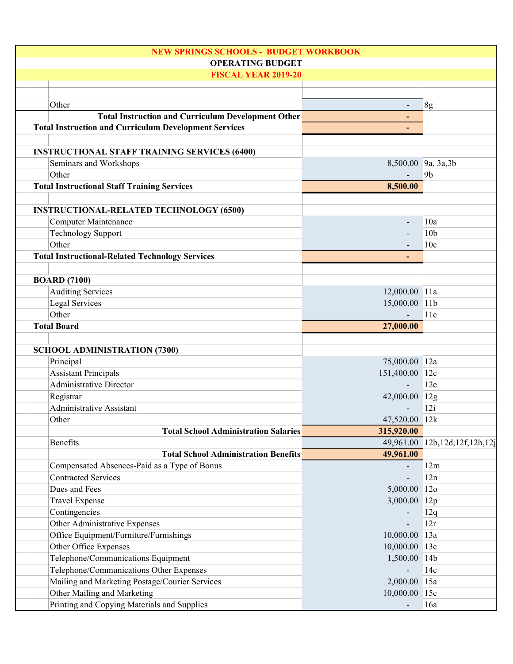| <b>NEW SPRINGS SCHOOLS - BUDGET WORKBOOK</b>                 |                          |                               |
|--------------------------------------------------------------|--------------------------|-------------------------------|
| <b>OPERATING BUDGET</b>                                      |                          |                               |
| <b>FISCAL YEAR 2019-20</b>                                   |                          |                               |
|                                                              |                          |                               |
| Other                                                        | $\overline{\phantom{a}}$ | 8g                            |
| <b>Total Instruction and Curriculum Development Other</b>    |                          |                               |
| <b>Total Instruction and Curriculum Development Services</b> |                          |                               |
|                                                              |                          |                               |
| <b>INSTRUCTIONAL STAFF TRAINING SERVICES (6400)</b>          |                          |                               |
| Seminars and Workshops                                       |                          | 8,500.00 9a, 3a, 3b           |
| Other                                                        |                          | 9 <sub>b</sub>                |
| <b>Total Instructional Staff Training Services</b>           | 8,500.00                 |                               |
|                                                              |                          |                               |
| <b>INSTRUCTIONAL-RELATED TECHNOLOGY (6500)</b>               |                          |                               |
| <b>Computer Maintenance</b>                                  |                          | 10a                           |
| <b>Technology Support</b>                                    |                          | 10 <sub>b</sub>               |
| Other                                                        |                          | 10 <sub>c</sub>               |
| <b>Total Instructional-Related Technology Services</b>       |                          |                               |
|                                                              |                          |                               |
| <b>BOARD (7100)</b>                                          |                          |                               |
| <b>Auditing Services</b>                                     | 12,000.00 11a            |                               |
| <b>Legal Services</b><br>Other                               | 15,000.00 11b            | 11c                           |
| <b>Total Board</b>                                           | 27,000.00                |                               |
|                                                              |                          |                               |
| <b>SCHOOL ADMINISTRATION (7300)</b>                          |                          |                               |
| Principal                                                    | 75,000.00 12a            |                               |
| <b>Assistant Principals</b>                                  | 151,400.00 12c           |                               |
| <b>Administrative Director</b>                               |                          | 12e                           |
| Registrar                                                    | 42,000.00 12g            |                               |
| <b>Administrative Assistant</b>                              |                          | 12i                           |
| Other                                                        | 47,520.00 12k            |                               |
| <b>Total School Administration Salaries</b>                  | 315,920.00               |                               |
| Benefits                                                     |                          | 49,961.00 12b,12d,12f,12h,12j |
| <b>Total School Administration Benefits</b>                  | 49,961.00                |                               |
| Compensated Absences-Paid as a Type of Bonus                 |                          | 12m                           |
| <b>Contracted Services</b>                                   |                          | 12n                           |
| Dues and Fees                                                | 5,000.00 12o             |                               |
| <b>Travel Expense</b>                                        | 3,000.00 12p             |                               |
| Contingencies                                                |                          | 12q                           |
| Other Administrative Expenses                                |                          | 12r                           |
| Office Equipment/Furniture/Furnishings                       | 10,000.00 13a            |                               |
| Other Office Expenses                                        | 10,000.00 13c            |                               |
| Telephone/Communications Equipment                           | 1,500.00 14b             |                               |
| Telephone/Communications Other Expenses                      |                          | 14c                           |
| Mailing and Marketing Postage/Courier Services               | 2,000.00 15a             |                               |
| Other Mailing and Marketing                                  | 10,000.00 15c            |                               |
| Printing and Copying Materials and Supplies                  |                          | 16a                           |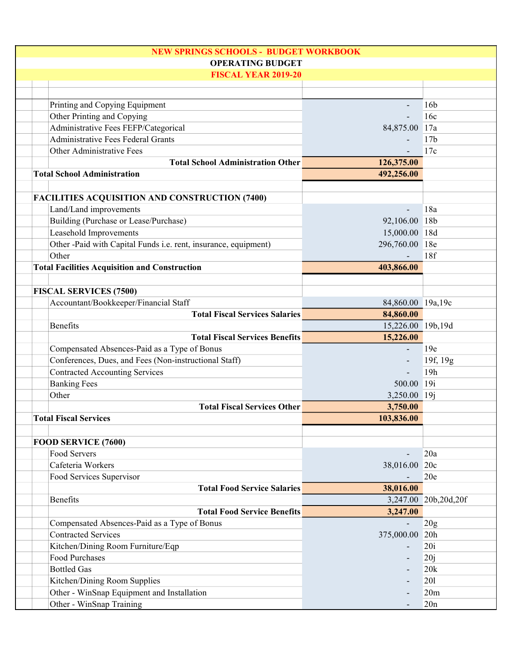| <b>NEW SPRINGS SCHOOLS - BUDGET WORKBOOK</b>                    |                   |                      |
|-----------------------------------------------------------------|-------------------|----------------------|
| <b>OPERATING BUDGET</b>                                         |                   |                      |
| <b>FISCAL YEAR 2019-20</b>                                      |                   |                      |
|                                                                 |                   |                      |
| Printing and Copying Equipment                                  |                   | 16 <sub>b</sub>      |
| Other Printing and Copying                                      |                   | 16c                  |
| Administrative Fees FEFP/Categorical                            | 84,875.00 17a     |                      |
| <b>Administrative Fees Federal Grants</b>                       |                   | 17 <sub>b</sub>      |
| Other Administrative Fees                                       |                   | 17c                  |
| <b>Total School Administration Other</b>                        | 126,375.00        |                      |
| <b>Total School Administration</b>                              | 492,256.00        |                      |
| <b>FACILITIES ACQUISITION AND CONSTRUCTION (7400)</b>           |                   |                      |
| Land/Land improvements                                          |                   | 18a                  |
| Building (Purchase or Lease/Purchase)                           | 92,106.00 18b     |                      |
| Leasehold Improvements                                          | 15,000.00 18d     |                      |
| Other -Paid with Capital Funds i.e. rent, insurance, equipment) | 296,760.00 18e    |                      |
| Other                                                           |                   | 18f                  |
| <b>Total Facilities Acquisition and Construction</b>            | 403,866.00        |                      |
|                                                                 |                   |                      |
| <b>FISCAL SERVICES (7500)</b>                                   |                   |                      |
| Accountant/Bookkeeper/Financial Staff                           | 84,860.00 19a,19c |                      |
| <b>Total Fiscal Services Salaries</b>                           | 84,860.00         |                      |
| <b>Benefits</b>                                                 | 15,226.00 19b,19d |                      |
| <b>Total Fiscal Services Benefits</b>                           | 15,226.00         |                      |
| Compensated Absences-Paid as a Type of Bonus                    |                   | 19e                  |
| Conferences, Dues, and Fees (Non-instructional Staff)           |                   | 19f, 19g             |
| <b>Contracted Accounting Services</b>                           |                   | 19h                  |
| <b>Banking Fees</b>                                             | 500.00            | 19i                  |
| Other                                                           | 3,250.00 19j      |                      |
| <b>Total Fiscal Services Other</b>                              | 3,750.00          |                      |
| <b>Total Fiscal Services</b>                                    | 103,836.00        |                      |
| FOOD SERVICE (7600)                                             |                   |                      |
| Food Servers                                                    |                   | 20a                  |
| Cafeteria Workers                                               | 38,016.00 20c     |                      |
| Food Services Supervisor                                        |                   | 20e                  |
| <b>Total Food Service Salaries</b>                              | 38,016.00         |                      |
| <b>Benefits</b>                                                 |                   | 3,247.00 20b,20d,20f |
| <b>Total Food Service Benefits</b>                              | 3,247.00          |                      |
| Compensated Absences-Paid as a Type of Bonus                    | $\overline{a}$    | 20g                  |
| <b>Contracted Services</b>                                      | 375,000.00        | 20h                  |
| Kitchen/Dining Room Furniture/Eqp                               |                   | 20i                  |
| Food Purchases                                                  |                   | 20j                  |
| <b>Bottled Gas</b>                                              |                   | 20k                  |
| Kitchen/Dining Room Supplies                                    |                   | 201                  |
| Other - WinSnap Equipment and Installation                      |                   | 20m                  |
| Other - WinSnap Training                                        |                   | 20n                  |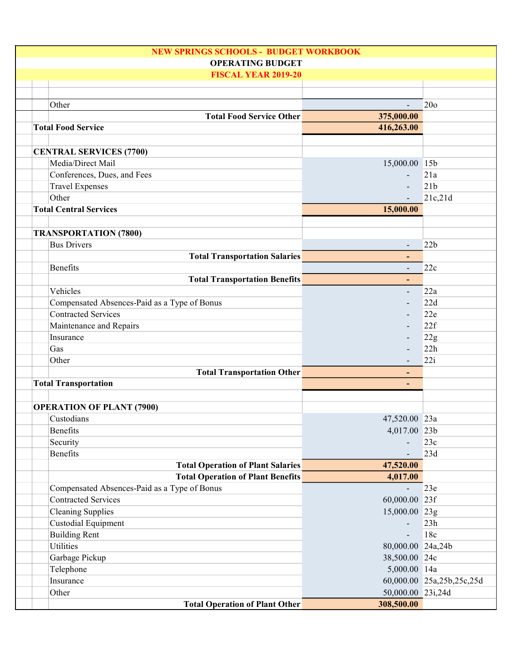| <b>NEW SPRINGS SCHOOLS - BUDGET WORKBOOK</b> |                          |                           |
|----------------------------------------------|--------------------------|---------------------------|
| <b>OPERATING BUDGET</b>                      |                          |                           |
| <b>FISCAL YEAR 2019-20</b>                   |                          |                           |
|                                              |                          |                           |
| Other                                        |                          | 20 <sub>o</sub>           |
| <b>Total Food Service Other</b>              | 375,000.00               |                           |
| <b>Total Food Service</b>                    | 416,263.00               |                           |
|                                              |                          |                           |
| <b>CENTRAL SERVICES (7700)</b>               |                          |                           |
| Media/Direct Mail                            | 15,000.00 15b            |                           |
| Conferences, Dues, and Fees                  |                          | 21a                       |
|                                              |                          | 21 <sub>b</sub>           |
| <b>Travel Expenses</b>                       | $\overline{\phantom{a}}$ |                           |
| Other                                        |                          | 21c,21d                   |
| <b>Total Central Services</b>                | 15,000.00                |                           |
|                                              |                          |                           |
| <b>TRANSPORTATION (7800)</b>                 |                          |                           |
| <b>Bus Drivers</b>                           |                          | 22b                       |
| <b>Total Transportation Salaries</b>         | ٠                        |                           |
| Benefits                                     |                          | 22c                       |
| <b>Total Transportation Benefits</b>         | $\overline{\phantom{a}}$ |                           |
| Vehicles                                     |                          | 22a                       |
| Compensated Absences-Paid as a Type of Bonus |                          | 22d                       |
| <b>Contracted Services</b>                   | $\overline{\phantom{a}}$ | 22e                       |
| Maintenance and Repairs                      | $\overline{a}$           | 22f                       |
| Insurance                                    |                          | 22g                       |
| Gas                                          |                          | 22h                       |
| Other                                        |                          | 22i                       |
| <b>Total Transportation Other</b>            | ٠                        |                           |
| <b>Total Transportation</b>                  |                          |                           |
|                                              |                          |                           |
| <b>OPERATION OF PLANT (7900)</b>             |                          |                           |
| Custodians                                   | 47,520.00 23a            |                           |
| Benefits                                     | 4,017.00 23b             |                           |
| Security                                     |                          | 23c                       |
| Benefits                                     |                          | 23d                       |
| <b>Total Operation of Plant Salaries</b>     | 47,520.00                |                           |
| <b>Total Operation of Plant Benefits</b>     | 4,017.00                 |                           |
| Compensated Absences-Paid as a Type of Bonus |                          | 23e                       |
| <b>Contracted Services</b>                   | 60,000.00 23f            |                           |
| <b>Cleaning Supplies</b>                     | 15,000.00 23g            |                           |
| <b>Custodial Equipment</b>                   |                          | 23h                       |
| <b>Building Rent</b>                         | $\frac{1}{2}$            | 18c                       |
| Utilities                                    | 80,000.00 24a,24b        |                           |
| Garbage Pickup                               | 38,500.00 24c            |                           |
|                                              |                          |                           |
| Telephone                                    | 5,000.00 14a             |                           |
| Insurance                                    |                          | 60,000.00 25a,25b,25c,25d |
| Other                                        | 50,000.00 23i,24d        |                           |
| <b>Total Operation of Plant Other</b>        | 308,500.00               |                           |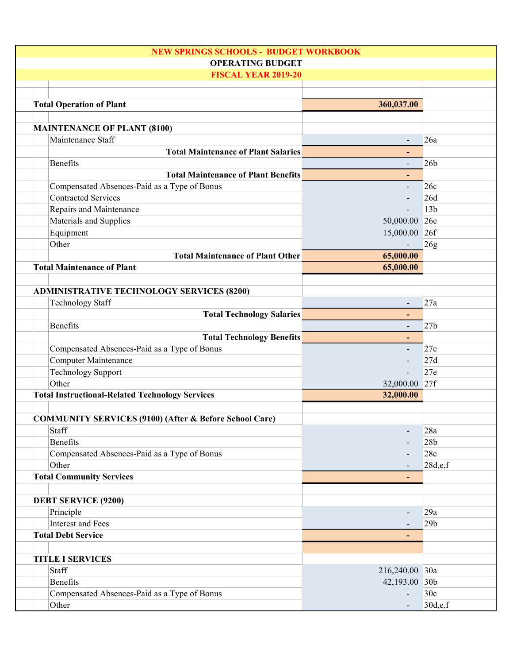| <b>NEW SPRINGS SCHOOLS - BUDGET WORKBOOK</b>                      |                          |                 |
|-------------------------------------------------------------------|--------------------------|-----------------|
| <b>OPERATING BUDGET</b>                                           |                          |                 |
| <b>FISCAL YEAR 2019-20</b>                                        |                          |                 |
|                                                                   |                          |                 |
| <b>Total Operation of Plant</b>                                   | 360,037.00               |                 |
|                                                                   |                          |                 |
| <b>MAINTENANCE OF PLANT (8100)</b>                                |                          |                 |
| Maintenance Staff                                                 |                          | 26a             |
| <b>Total Maintenance of Plant Salaries</b>                        | ٠                        |                 |
| <b>Benefits</b>                                                   |                          | 26 <sub>b</sub> |
| <b>Total Maintenance of Plant Benefits</b>                        | $\blacksquare$           |                 |
| Compensated Absences-Paid as a Type of Bonus                      | $\overline{\phantom{a}}$ | 26c             |
| <b>Contracted Services</b>                                        | $\overline{\phantom{a}}$ | 26d             |
| Repairs and Maintenance                                           |                          | 13 <sub>b</sub> |
| Materials and Supplies                                            | 50,000.00 26e            |                 |
| Equipment                                                         | 15,000.00 26f            |                 |
| Other                                                             |                          | 26g             |
| <b>Total Maintenance of Plant Other</b>                           | 65,000.00                |                 |
| <b>Total Maintenance of Plant</b>                                 | 65,000.00                |                 |
|                                                                   |                          |                 |
| <b>ADMINISTRATIVE TECHNOLOGY SERVICES (8200)</b>                  |                          |                 |
| <b>Technology Staff</b>                                           | $\overline{\phantom{a}}$ | 27a             |
| <b>Total Technology Salaries</b>                                  |                          |                 |
| <b>Benefits</b>                                                   | $\overline{\phantom{a}}$ | 27 <sub>b</sub> |
| <b>Total Technology Benefits</b>                                  | ٠                        |                 |
| Compensated Absences-Paid as a Type of Bonus                      | $\blacksquare$           | 27c             |
| <b>Computer Maintenance</b>                                       |                          | 27d             |
| <b>Technology Support</b>                                         |                          | 27e             |
| Other                                                             | 32,000.00 27f            |                 |
| <b>Total Instructional-Related Technology Services</b>            | 32,000.00                |                 |
|                                                                   |                          |                 |
| <b>COMMUNITY SERVICES (9100) (After &amp; Before School Care)</b> |                          |                 |
| Staff                                                             |                          | 28a             |
| <b>Benefits</b>                                                   |                          | 28 <sub>b</sub> |
| Compensated Absences-Paid as a Type of Bonus                      |                          | 28c             |
| Other                                                             |                          | 28d,e,f         |
| <b>Total Community Services</b>                                   |                          |                 |
|                                                                   |                          |                 |
| <b>DEBT SERVICE (9200)</b>                                        |                          |                 |
| Principle                                                         |                          | 29a             |
| <b>Interest and Fees</b>                                          |                          | 29 <sub>b</sub> |
| <b>Total Debt Service</b>                                         |                          |                 |
| <b>TITLE I SERVICES</b>                                           |                          |                 |
| Staff                                                             | 216,240.00 30a           |                 |
| <b>Benefits</b>                                                   | 42,193.00 30b            |                 |
| Compensated Absences-Paid as a Type of Bonus                      |                          | 30c             |
| Other                                                             |                          | 30d,e,f         |
|                                                                   |                          |                 |